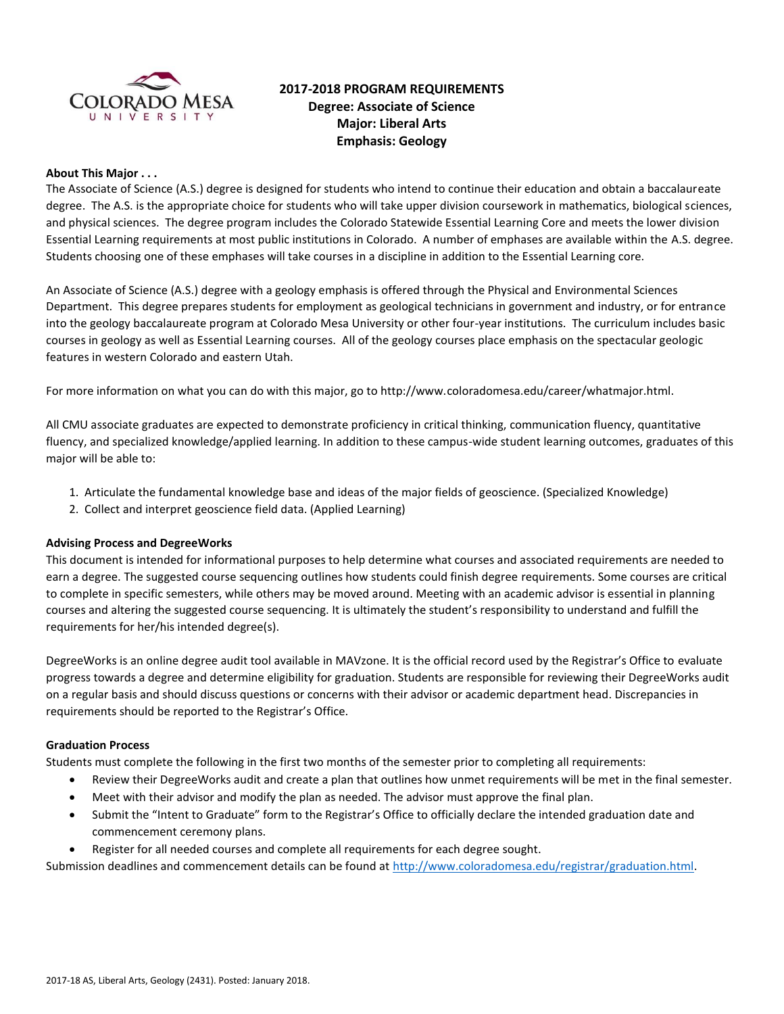

# **2017-2018 PROGRAM REQUIREMENTS Degree: Associate of Science Major: Liberal Arts Emphasis: Geology**

## **About This Major . . .**

The Associate of Science (A.S.) degree is designed for students who intend to continue their education and obtain a baccalaureate degree. The A.S. is the appropriate choice for students who will take upper division coursework in mathematics, biological sciences, and physical sciences. The degree program includes the Colorado Statewide Essential Learning Core and meets the lower division Essential Learning requirements at most public institutions in Colorado. A number of emphases are available within the A.S. degree. Students choosing one of these emphases will take courses in a discipline in addition to the Essential Learning core.

An Associate of Science (A.S.) degree with a geology emphasis is offered through the Physical and Environmental Sciences Department. This degree prepares students for employment as geological technicians in government and industry, or for entrance into the geology baccalaureate program at Colorado Mesa University or other four-year institutions. The curriculum includes basic courses in geology as well as Essential Learning courses. All of the geology courses place emphasis on the spectacular geologic features in western Colorado and eastern Utah.

For more information on what you can do with this major, go to http://www.coloradomesa.edu/career/whatmajor.html.

All CMU associate graduates are expected to demonstrate proficiency in critical thinking, communication fluency, quantitative fluency, and specialized knowledge/applied learning. In addition to these campus-wide student learning outcomes, graduates of this major will be able to:

- 1. Articulate the fundamental knowledge base and ideas of the major fields of geoscience. (Specialized Knowledge)
- 2. Collect and interpret geoscience field data. (Applied Learning)

### **Advising Process and DegreeWorks**

This document is intended for informational purposes to help determine what courses and associated requirements are needed to earn a degree. The suggested course sequencing outlines how students could finish degree requirements. Some courses are critical to complete in specific semesters, while others may be moved around. Meeting with an academic advisor is essential in planning courses and altering the suggested course sequencing. It is ultimately the student's responsibility to understand and fulfill the requirements for her/his intended degree(s).

DegreeWorks is an online degree audit tool available in MAVzone. It is the official record used by the Registrar's Office to evaluate progress towards a degree and determine eligibility for graduation. Students are responsible for reviewing their DegreeWorks audit on a regular basis and should discuss questions or concerns with their advisor or academic department head. Discrepancies in requirements should be reported to the Registrar's Office.

### **Graduation Process**

Students must complete the following in the first two months of the semester prior to completing all requirements:

- Review their DegreeWorks audit and create a plan that outlines how unmet requirements will be met in the final semester.
- Meet with their advisor and modify the plan as needed. The advisor must approve the final plan.
- Submit the "Intent to Graduate" form to the Registrar's Office to officially declare the intended graduation date and commencement ceremony plans.
- Register for all needed courses and complete all requirements for each degree sought.

Submission deadlines and commencement details can be found at [http://www.coloradomesa.edu/registrar/graduation.html.](http://www.coloradomesa.edu/registrar/graduation.html)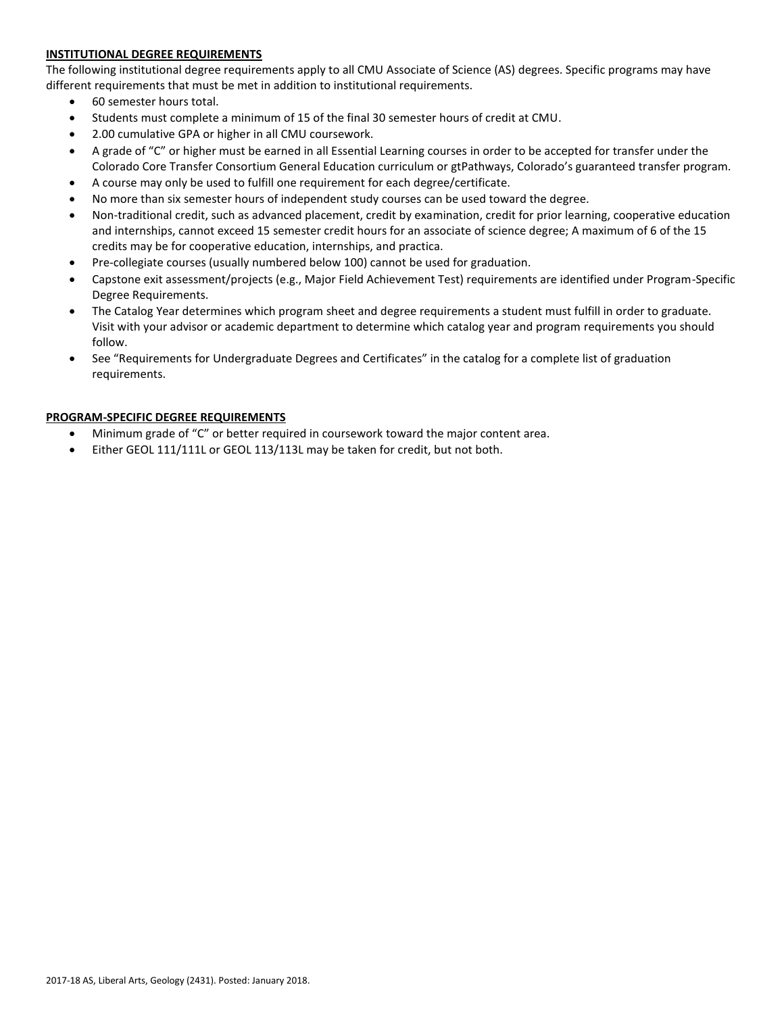# **INSTITUTIONAL DEGREE REQUIREMENTS**

The following institutional degree requirements apply to all CMU Associate of Science (AS) degrees. Specific programs may have different requirements that must be met in addition to institutional requirements.

- 60 semester hours total.
- Students must complete a minimum of 15 of the final 30 semester hours of credit at CMU.
- 2.00 cumulative GPA or higher in all CMU coursework.
- A grade of "C" or higher must be earned in all Essential Learning courses in order to be accepted for transfer under the Colorado Core Transfer Consortium General Education curriculum or gtPathways, Colorado's guaranteed transfer program.
- A course may only be used to fulfill one requirement for each degree/certificate.
- No more than six semester hours of independent study courses can be used toward the degree.
- Non-traditional credit, such as advanced placement, credit by examination, credit for prior learning, cooperative education and internships, cannot exceed 15 semester credit hours for an associate of science degree; A maximum of 6 of the 15 credits may be for cooperative education, internships, and practica.
- Pre-collegiate courses (usually numbered below 100) cannot be used for graduation.
- Capstone exit assessment/projects (e.g., Major Field Achievement Test) requirements are identified under Program-Specific Degree Requirements.
- The Catalog Year determines which program sheet and degree requirements a student must fulfill in order to graduate. Visit with your advisor or academic department to determine which catalog year and program requirements you should follow.
- See "Requirements for Undergraduate Degrees and Certificates" in the catalog for a complete list of graduation requirements.

# **PROGRAM-SPECIFIC DEGREE REQUIREMENTS**

- Minimum grade of "C" or better required in coursework toward the major content area.
- Either GEOL 111/111L or GEOL 113/113L may be taken for credit, but not both.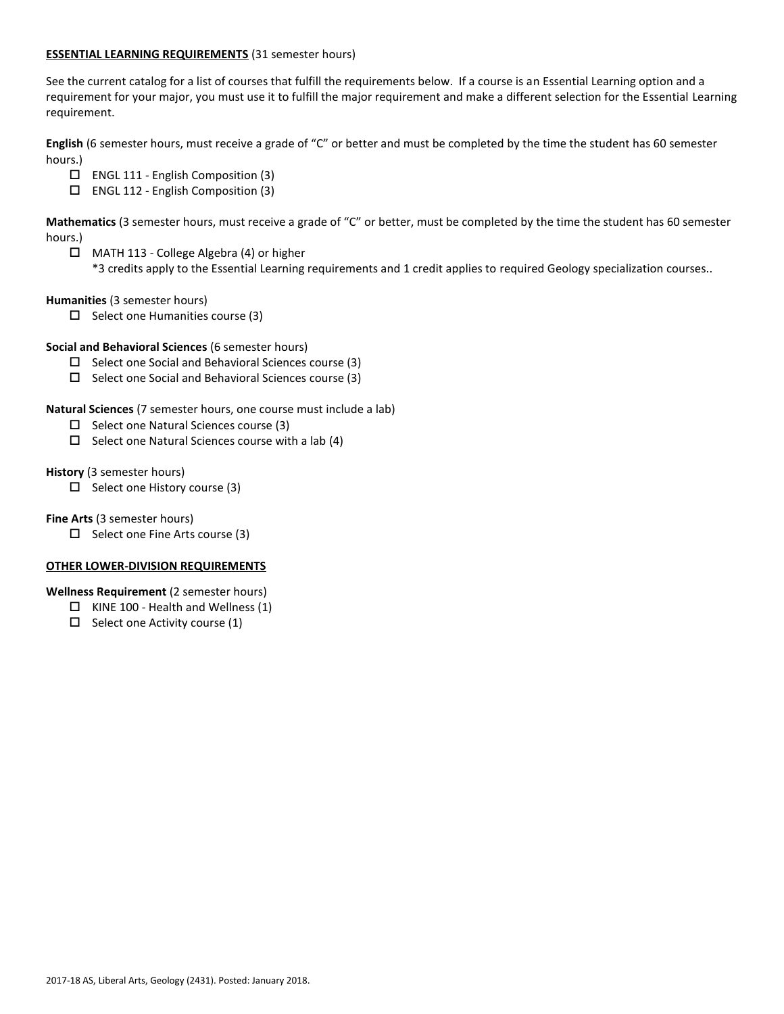## **ESSENTIAL LEARNING REQUIREMENTS** (31 semester hours)

See the current catalog for a list of courses that fulfill the requirements below. If a course is an Essential Learning option and a requirement for your major, you must use it to fulfill the major requirement and make a different selection for the Essential Learning requirement.

**English** (6 semester hours, must receive a grade of "C" or better and must be completed by the time the student has 60 semester hours.)

- ENGL 111 English Composition (3)
- ENGL 112 English Composition (3)

**Mathematics** (3 semester hours, must receive a grade of "C" or better, must be completed by the time the student has 60 semester hours.)

 MATH 113 - College Algebra (4) or higher \*3 credits apply to the Essential Learning requirements and 1 credit applies to required Geology specialization courses..

**Humanities** (3 semester hours)

 $\square$  Select one Humanities course (3)

## **Social and Behavioral Sciences** (6 semester hours)

- $\square$  Select one Social and Behavioral Sciences course (3)
- $\square$  Select one Social and Behavioral Sciences course (3)

**Natural Sciences** (7 semester hours, one course must include a lab)

- $\Box$  Select one Natural Sciences course (3)
- $\square$  Select one Natural Sciences course with a lab (4)

**History** (3 semester hours)

 $\Box$  Select one History course (3)

**Fine Arts** (3 semester hours)

 $\Box$  Select one Fine Arts course (3)

### **OTHER LOWER-DIVISION REQUIREMENTS**

**Wellness Requirement** (2 semester hours)

- $\Box$  KINE 100 Health and Wellness (1)
- $\Box$  Select one Activity course (1)